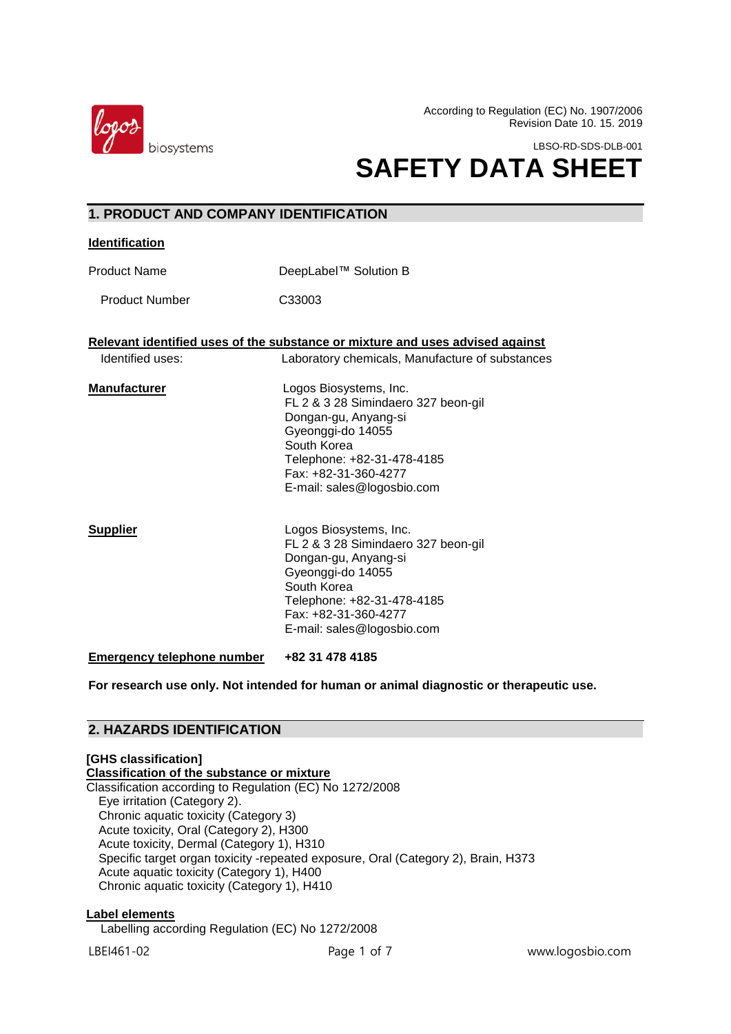

**1. PRODUCT AND COMPANY IDENTIFICATION** 

According to Regulation (EC) No. 1907/2006 Revision Date 10. 15. 2019

LBSO-RD-SDS-DLB-001

# **SAFETY DATA SHEET**

| ובשו וזה ווהשט שוה וט             |                                                                                                                                                                                                               |  |
|-----------------------------------|---------------------------------------------------------------------------------------------------------------------------------------------------------------------------------------------------------------|--|
| <b>Identification</b>             |                                                                                                                                                                                                               |  |
| <b>Product Name</b>               | DeepLabel™ Solution B                                                                                                                                                                                         |  |
| <b>Product Number</b>             | C33003                                                                                                                                                                                                        |  |
|                                   | Relevant identified uses of the substance or mixture and uses advised against                                                                                                                                 |  |
| Identified uses:                  | Laboratory chemicals, Manufacture of substances                                                                                                                                                               |  |
| <b>Manufacturer</b>               | Logos Biosystems, Inc.<br>FL 2 & 3 28 Simindaero 327 beon-gil<br>Dongan-gu, Anyang-si<br>Gyeonggi-do 14055<br>South Korea<br>Telephone: +82-31-478-4185<br>Fax: +82-31-360-4277<br>E-mail: sales@logosbio.com |  |
| <b>Supplier</b>                   | Logos Biosystems, Inc.<br>FL 2 & 3 28 Simindaero 327 beon-gil<br>Dongan-gu, Anyang-si<br>Gyeonggi-do 14055<br>South Korea<br>Telephone: +82-31-478-4185<br>Fax: +82-31-360-4277<br>E-mail: sales@logosbio.com |  |
| <b>Emergency telephone number</b> | +82 31 478 4185                                                                                                                                                                                               |  |

**For research use only. Not intended for human or animal diagnostic or therapeutic use.**

# **2. HAZARDS IDENTIFICATION**

#### **[GHS classification] Classification of the substance or mixture** Classification according to Regulation (EC) No 1272/2008 Eye irritation (Category 2). Chronic aquatic toxicity (Category 3) Acute toxicity, Oral (Category 2), H300 Acute toxicity, Dermal (Category 1), H310 Specific target organ toxicity -repeated exposure, Oral (Category 2), Brain, H373 Acute aquatic toxicity (Category 1), H400 Chronic aquatic toxicity (Category 1), H410

#### **Label elements**

Labelling according Regulation (EC) No 1272/2008

LBEI461-02 Page 1 of 7 www.logosbio.com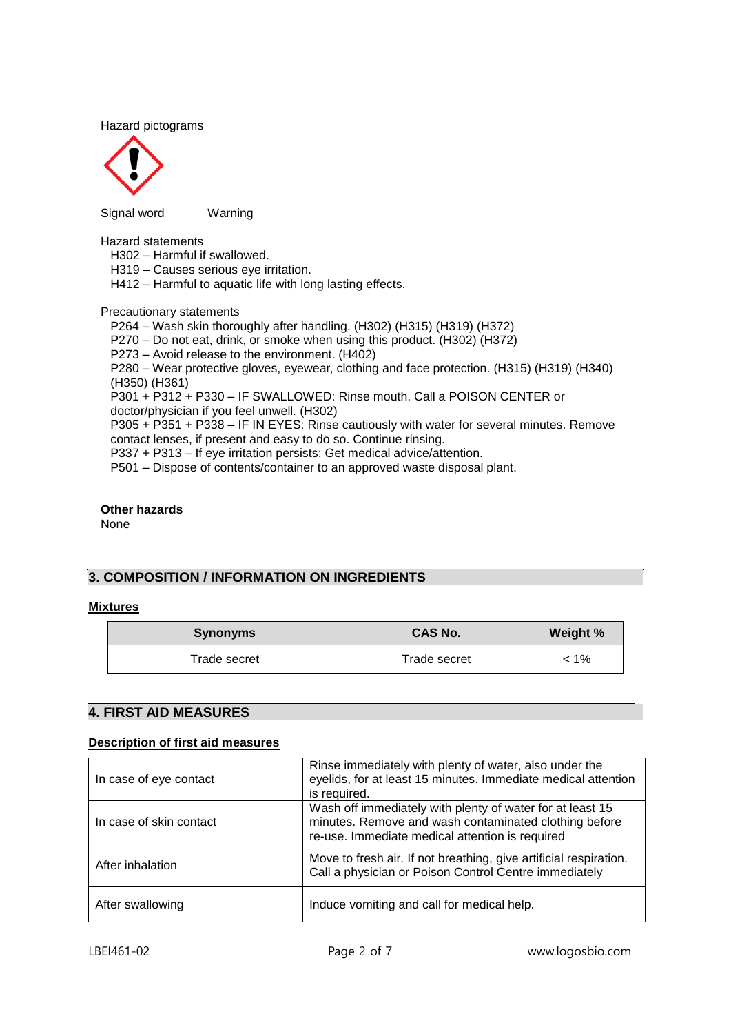Hazard pictograms



Signal wordWarning

Hazard statements

H302 – Harmful if swallowed.

H319 – Causes serious eye irritation.

H412 – Harmful to aquatic life with long lasting effects.

Precautionary statements

P264 – Wash skin thoroughly after handling. (H302) (H315) (H319) (H372)

P270 – Do not eat, drink, or smoke when using this product. (H302) (H372)

P273 – Avoid release to the environment. (H402)

P280 – Wear protective gloves, eyewear, clothing and face protection. (H315) (H319) (H340) (H350) (H361)

P301 + P312 + P330 – IF SWALLOWED: Rinse mouth. Call a POISON CENTER or doctor/physician if you feel unwell. (H302)

P305 + P351 + P338 – IF IN EYES: Rinse cautiously with water for several minutes. Remove contact lenses, if present and easy to do so. Continue rinsing.

P337 + P313 – If eye irritation persists: Get medical advice/attention.

P501 – Dispose of contents/container to an approved waste disposal plant.

#### **Other hazards**

None

# **3. COMPOSITION / INFORMATION ON INGREDIENTS**

#### **Mixtures**

| <b>Synonyms</b> | <b>CAS No.</b> | Weight % |
|-----------------|----------------|----------|
| Trade secret    | Trade secret   | < 1%     |

#### $\overline{a}$ **4. FIRST AID MEASURES**

#### **Description of first aid measures**

| In case of eye contact  | Rinse immediately with plenty of water, also under the<br>eyelids, for at least 15 minutes. Immediate medical attention<br>is required.                               |  |
|-------------------------|-----------------------------------------------------------------------------------------------------------------------------------------------------------------------|--|
| In case of skin contact | Wash off immediately with plenty of water for at least 15<br>minutes. Remove and wash contaminated clothing before<br>re-use. Immediate medical attention is required |  |
| After inhalation        | Move to fresh air. If not breathing, give artificial respiration.<br>Call a physician or Poison Control Centre immediately                                            |  |
| After swallowing        | Induce vomiting and call for medical help.                                                                                                                            |  |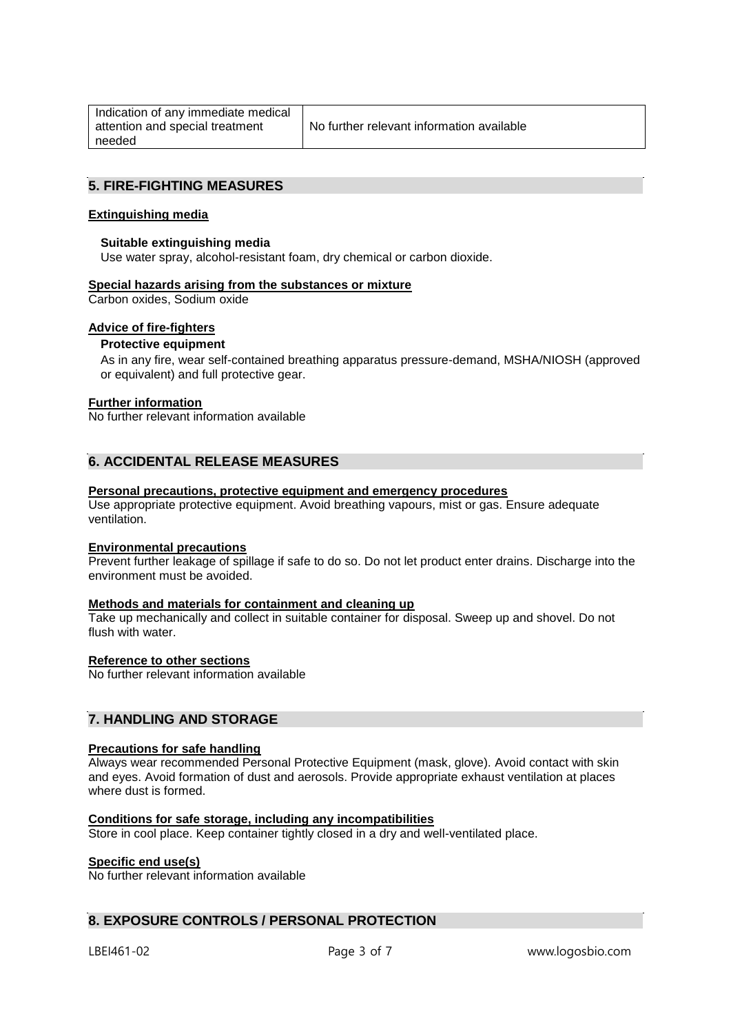| Indication of any immediate medical |  |  |
|-------------------------------------|--|--|
| attention and special treatment     |  |  |
| needed                              |  |  |

# **5. FIRE-FIGHTING MEASURES**

#### **Extinguishing media**

#### **Suitable extinguishing media**

Use water spray, alcohol-resistant foam, dry chemical or carbon dioxide.

#### **Special hazards arising from the substances or mixture**

Carbon oxides, Sodium oxide

## **Advice of fire-fighters**

## **Protective equipment**

As in any fire, wear self-contained breathing apparatus pressure-demand, MSHA/NIOSH (approved or equivalent) and full protective gear.

#### **Further information**

No further relevant information available

# **6. ACCIDENTAL RELEASE MEASURES**

#### **Personal precautions, protective equipment and emergency procedures**

Use appropriate protective equipment. Avoid breathing vapours, mist or gas. Ensure adequate ventilation.

#### **Environmental precautions**

Prevent further leakage of spillage if safe to do so. Do not let product enter drains. Discharge into the environment must be avoided.

## **Methods and materials for containment and cleaning up**

Take up mechanically and collect in suitable container for disposal. Sweep up and shovel. Do not flush with water

#### **Reference to other sections**

No further relevant information available

# **7. HANDLING AND STORAGE**

#### **Precautions for safe handling**

Always wear recommended Personal Protective Equipment (mask, glove). Avoid contact with skin and eyes. Avoid formation of dust and aerosols. Provide appropriate exhaust ventilation at places where dust is formed.

## **Conditions for safe storage, including any incompatibilities**

Store in cool place. Keep container tightly closed in a dry and well-ventilated place.

## **Specific end use(s)**

No further relevant information available

# **8. EXPOSURE CONTROLS / PERSONAL PROTECTION**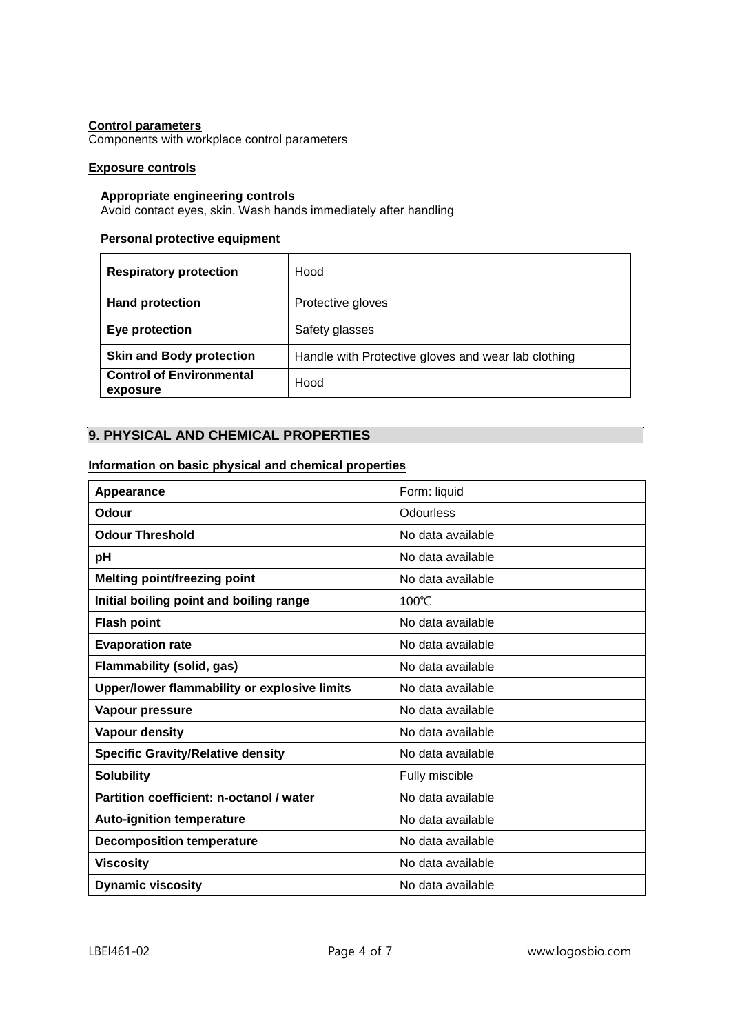# **Control parameters**

Components with workplace control parameters

# **Exposure controls**

#### **Appropriate engineering controls**

Avoid contact eyes, skin. Wash hands immediately after handling

# **Personal protective equipment**

| <b>Respiratory protection</b>               | Hood                                                |
|---------------------------------------------|-----------------------------------------------------|
| <b>Hand protection</b>                      | Protective gloves                                   |
| Eye protection                              | Safety glasses                                      |
| <b>Skin and Body protection</b>             | Handle with Protective gloves and wear lab clothing |
| <b>Control of Environmental</b><br>exposure | Hood                                                |

# **9. PHYSICAL AND CHEMICAL PROPERTIES**

## **Information on basic physical and chemical properties**

| Appearance                                   | Form: liquid      |
|----------------------------------------------|-------------------|
| Odour                                        | Odourless         |
| <b>Odour Threshold</b>                       | No data available |
| pH                                           | No data available |
| <b>Melting point/freezing point</b>          | No data available |
| Initial boiling point and boiling range      | $100^{\circ}$ C   |
| <b>Flash point</b>                           | No data available |
| <b>Evaporation rate</b>                      | No data available |
| Flammability (solid, gas)                    | No data available |
| Upper/lower flammability or explosive limits | No data available |
| Vapour pressure                              | No data available |
| Vapour density                               | No data available |
| <b>Specific Gravity/Relative density</b>     | No data available |
| <b>Solubility</b>                            | Fully miscible    |
| Partition coefficient: n-octanol / water     | No data available |
| <b>Auto-ignition temperature</b>             | No data available |
| <b>Decomposition temperature</b>             | No data available |
| <b>Viscosity</b>                             | No data available |
| <b>Dynamic viscosity</b>                     | No data available |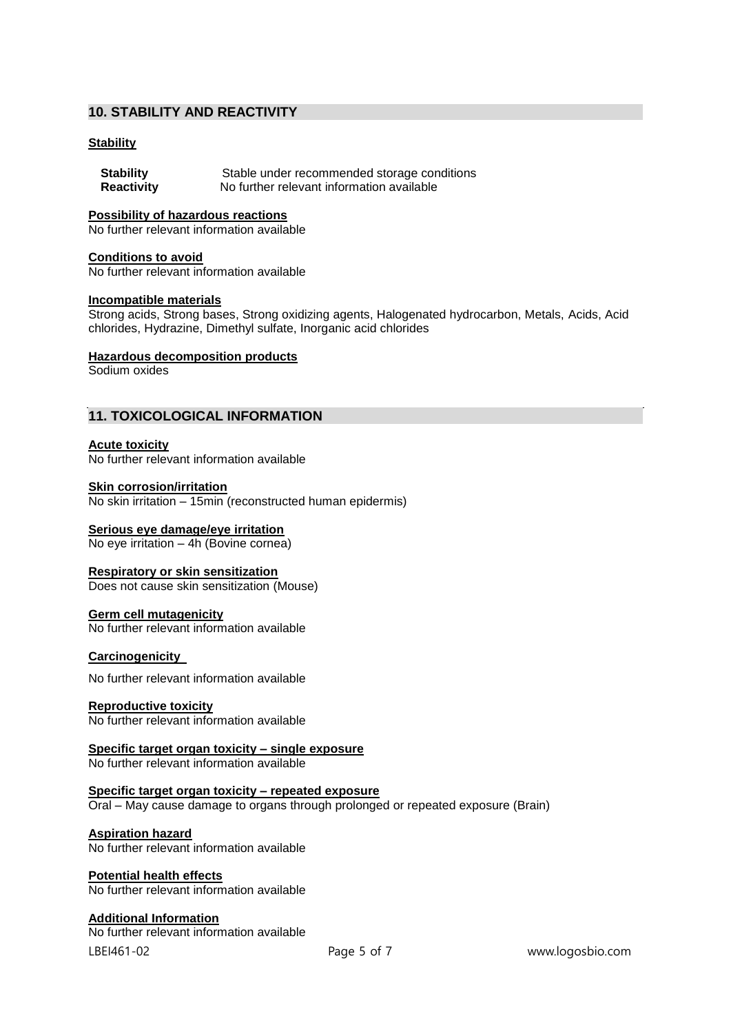# **10. STABILITY AND REACTIVITY**

## **Stability**

| <b>Stability</b>  | Stable under recommended storage conditions |
|-------------------|---------------------------------------------|
| <b>Reactivity</b> | No further relevant information available   |

#### **Possibility of hazardous reactions**

No further relevant information available

#### **Conditions to avoid**

No further relevant information available

#### **Incompatible materials**

Strong acids, Strong bases, Strong oxidizing agents, Halogenated hydrocarbon, Metals, Acids, Acid chlorides, Hydrazine, Dimethyl sulfate, Inorganic acid chlorides

## **Hazardous decomposition products**

Sodium oxides

# **11. TOXICOLOGICAL INFORMATION**

#### **Acute toxicity**

No further relevant information available

#### **Skin corrosion/irritation**

No skin irritation – 15min (reconstructed human epidermis)

#### **Serious eye damage/eye irritation**

No eye irritation – 4h (Bovine cornea)

## **Respiratory or skin sensitization**

Does not cause skin sensitization (Mouse)

## **Germ cell mutagenicity**

No further relevant information available

#### **Carcinogenicity**

No further relevant information available

#### **Reproductive toxicity**

No further relevant information available

**Specific target organ toxicity – single exposure**

No further relevant information available

#### **Specific target organ toxicity – repeated exposure** Oral – May cause damage to organs through prolonged or repeated exposure (Brain)

## **Aspiration hazard**

No further relevant information available

#### **Potential health effects**

No further relevant information available

## **Additional Information**

LBEI461-02 Page 5 of 7 www.logosbio.com No further relevant information available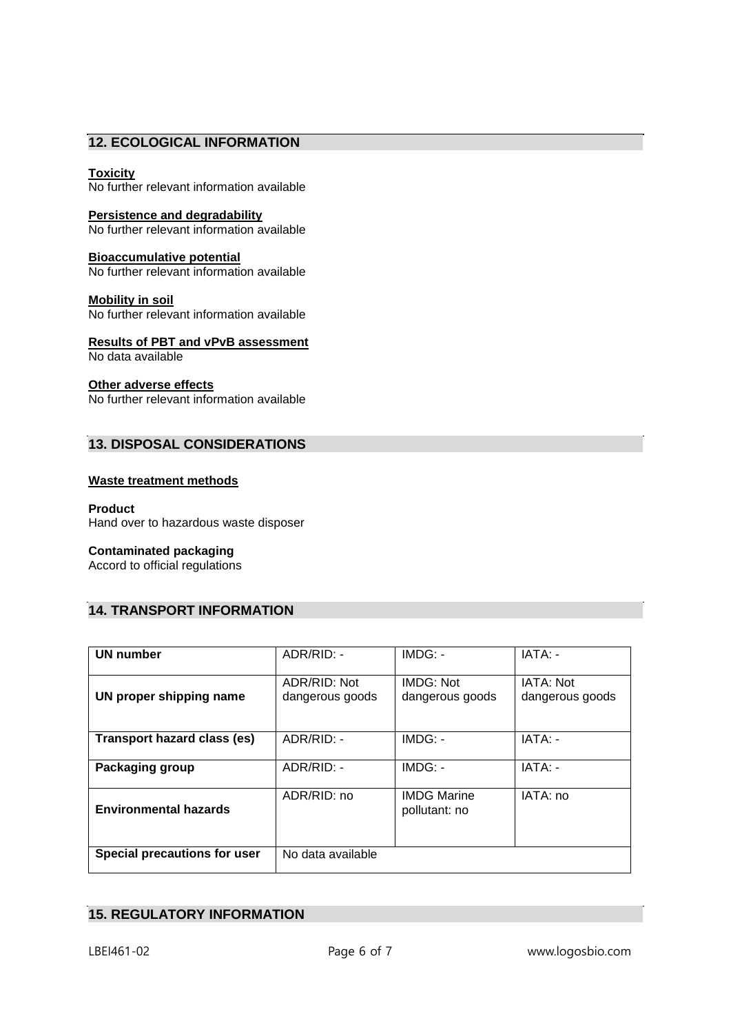# **12. ECOLOGICAL INFORMATION**

# **Toxicity**

No further relevant information available

**Persistence and degradability** No further relevant information available

**Bioaccumulative potential** No further relevant information available

**Mobility in soil** No further relevant information available

**Results of PBT and vPvB assessment** No data available

## **Other adverse effects**

No further relevant information available

# **13. DISPOSAL CONSIDERATIONS**

## **Waste treatment methods**

#### **Product**

Hand over to hazardous waste disposer

## **Contaminated packaging**

Accord to official regulations

# **14. TRANSPORT INFORMATION**

| UN number                          | ADR/RID: -                      | $IMDG: -$                           | $IATA: -$                    |
|------------------------------------|---------------------------------|-------------------------------------|------------------------------|
| UN proper shipping name            | ADR/RID: Not<br>dangerous goods | <b>IMDG: Not</b><br>dangerous goods | IATA: Not<br>dangerous goods |
| <b>Transport hazard class (es)</b> | ADR/RID: -                      | IMDG: -                             | IATA: -                      |
| Packaging group                    | ADR/RID: -                      | IMDG: -                             | IATA: -                      |
| <b>Environmental hazards</b>       | ADR/RID: no                     | <b>IMDG Marine</b><br>pollutant: no | IATA: no                     |
| Special precautions for user       | No data available               |                                     |                              |

# **15. REGULATORY INFORMATION**